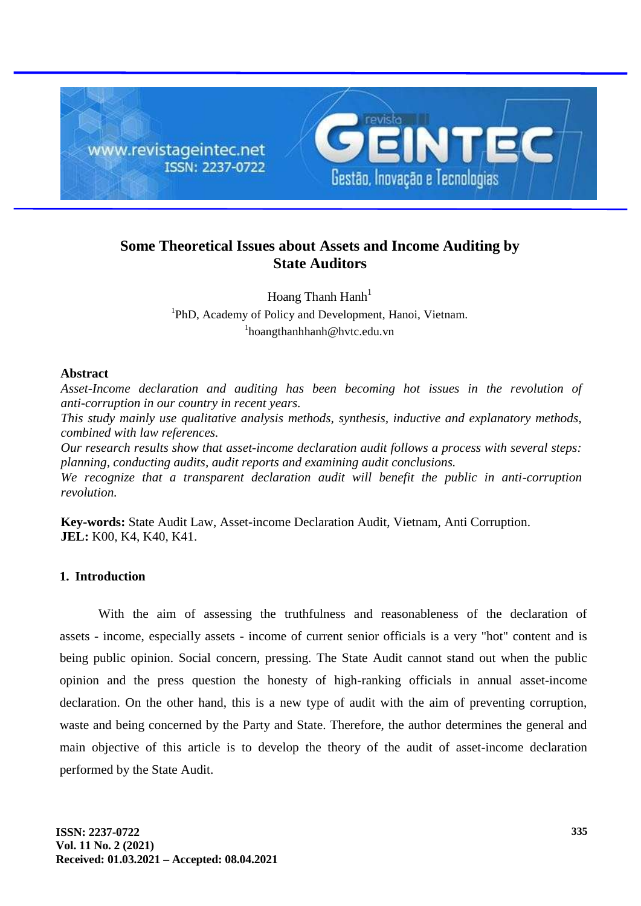

# **Some Theoretical Issues about Assets and Income Auditing by State Auditors**

Hoang Thanh  $\text{Hanh}^1$ <sup>1</sup>PhD, Academy of Policy and Development, Hanoi, Vietnam. 1 hoangthanhhanh@hvtc.edu.vn

## **Abstract**

*Asset-Income declaration and auditing has been becoming hot issues in the revolution of anti-corruption in our country in recent years. This study mainly use qualitative analysis methods, synthesis, inductive and explanatory methods, combined with law references. Our research results show that asset-income declaration audit follows a process with several steps: planning, conducting audits, audit reports and examining audit conclusions.*

*We recognize that a transparent declaration audit will benefit the public in anti-corruption revolution.*

**Key-words:** State Audit Law, Asset-income Declaration Audit, Vietnam, Anti Corruption. **JEL:** K00, K4, K40, K41.

### **1. Introduction**

With the aim of assessing the truthfulness and reasonableness of the declaration of assets - income, especially assets - income of current senior officials is a very "hot" content and is being public opinion. Social concern, pressing. The State Audit cannot stand out when the public opinion and the press question the honesty of high-ranking officials in annual asset-income declaration. On the other hand, this is a new type of audit with the aim of preventing corruption, waste and being concerned by the Party and State. Therefore, the author determines the general and main objective of this article is to develop the theory of the audit of asset-income declaration performed by the State Audit.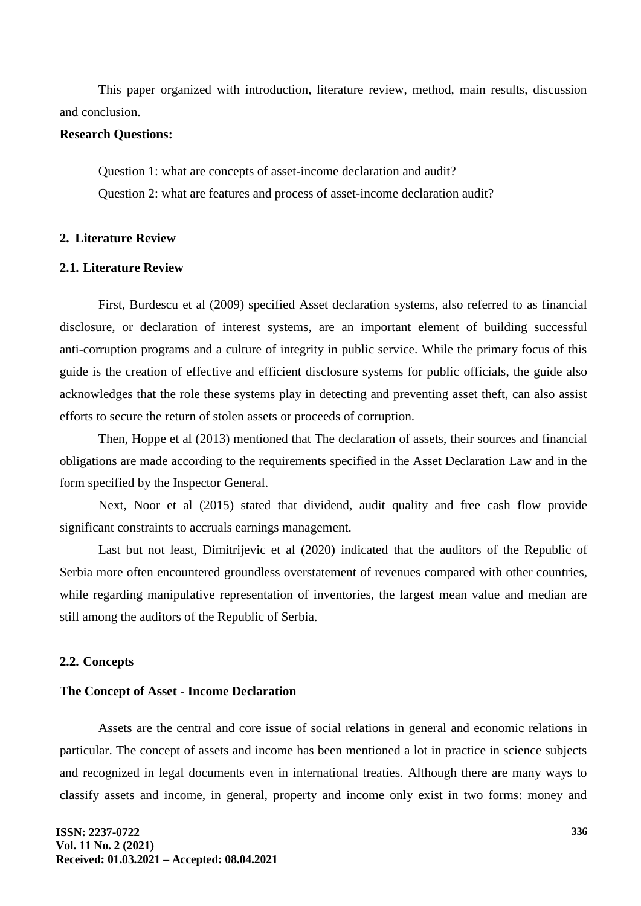This paper organized with introduction, literature review, method, main results, discussion and conclusion.

### **Research Questions:**

Question 1: what are concepts of asset-income declaration and audit? Question 2: what are features and process of asset-income declaration audit?

#### **2. Literature Review**

## **2.1. Literature Review**

First, Burdescu et al (2009) specified Asset declaration systems, also referred to as financial disclosure, or declaration of interest systems, are an important element of building successful anti-corruption programs and a culture of integrity in public service. While the primary focus of this guide is the creation of effective and efficient disclosure systems for public officials, the guide also acknowledges that the role these systems play in detecting and preventing asset theft, can also assist efforts to secure the return of stolen assets or proceeds of corruption.

Then, Hoppe et al (2013) mentioned that The declaration of assets, their sources and financial obligations are made according to the requirements specified in the Asset Declaration Law and in the form specified by the Inspector General.

Next, Noor et al (2015) stated that dividend, audit quality and free cash flow provide significant constraints to accruals earnings management.

Last but not least, Dimitrijevic et al (2020) indicated that the auditors of the Republic of Serbia more often encountered groundless overstatement of revenues compared with other countries, while regarding manipulative representation of inventories, the largest mean value and median are still among the auditors of the Republic of Serbia.

#### **2.2. Concepts**

#### **The Concept of Asset - Income Declaration**

Assets are the central and core issue of social relations in general and economic relations in particular. The concept of assets and income has been mentioned a lot in practice in science subjects and recognized in legal documents even in international treaties. Although there are many ways to classify assets and income, in general, property and income only exist in two forms: money and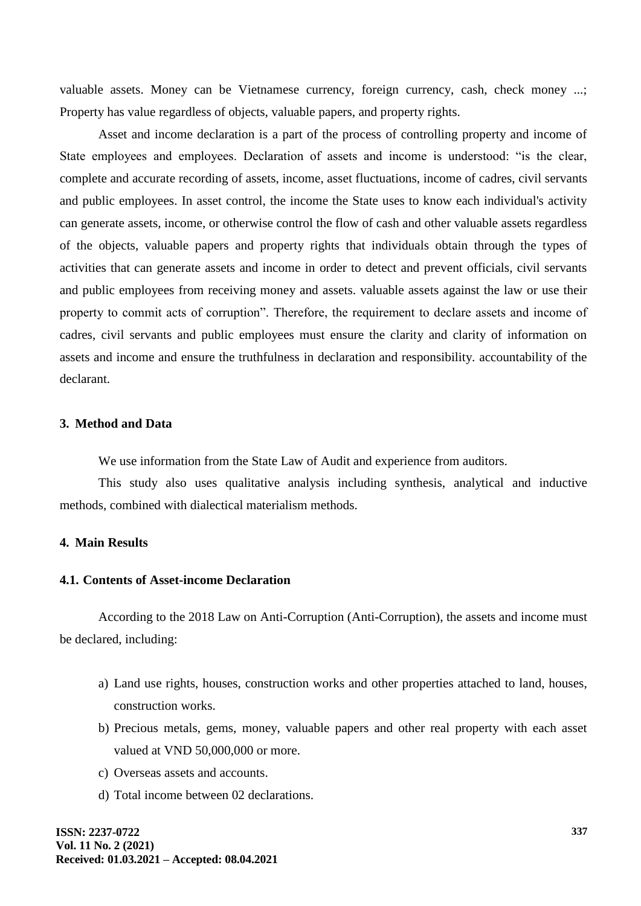valuable assets. Money can be Vietnamese currency, foreign currency, cash, check money ...; Property has value regardless of objects, valuable papers, and property rights.

Asset and income declaration is a part of the process of controlling property and income of State employees and employees. Declaration of assets and income is understood: "is the clear, complete and accurate recording of assets, income, asset fluctuations, income of cadres, civil servants and public employees. In asset control, the income the State uses to know each individual's activity can generate assets, income, or otherwise control the flow of cash and other valuable assets regardless of the objects, valuable papers and property rights that individuals obtain through the types of activities that can generate assets and income in order to detect and prevent officials, civil servants and public employees from receiving money and assets. valuable assets against the law or use their property to commit acts of corruption". Therefore, the requirement to declare assets and income of cadres, civil servants and public employees must ensure the clarity and clarity of information on assets and income and ensure the truthfulness in declaration and responsibility. accountability of the declarant.

## **3. Method and Data**

We use information from the State Law of Audit and experience from auditors.

This study also uses qualitative analysis including synthesis, analytical and inductive methods, combined with dialectical materialism methods.

## **4. Main Results**

### **4.1. Contents of Asset-income Declaration**

According to the 2018 Law on Anti-Corruption (Anti-Corruption), the assets and income must be declared, including:

- a) Land use rights, houses, construction works and other properties attached to land, houses, construction works.
- b) Precious metals, gems, money, valuable papers and other real property with each asset valued at VND 50,000,000 or more.
- c) Overseas assets and accounts.
- d) Total income between 02 declarations.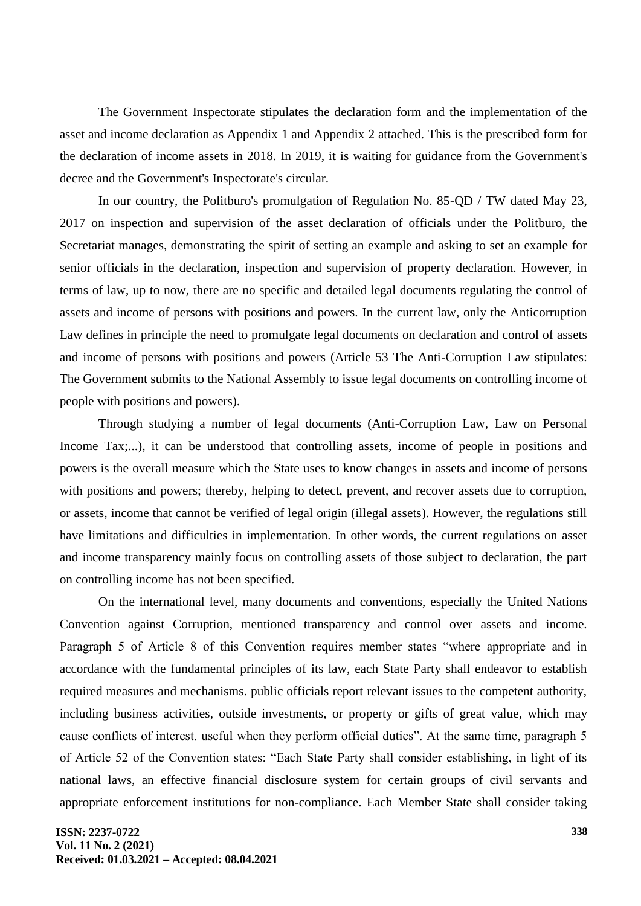The Government Inspectorate stipulates the declaration form and the implementation of the asset and income declaration as Appendix 1 and Appendix 2 attached. This is the prescribed form for the declaration of income assets in 2018. In 2019, it is waiting for guidance from the Government's decree and the Government's Inspectorate's circular.

In our country, the Politburo's promulgation of Regulation No. 85-QD / TW dated May 23, 2017 on inspection and supervision of the asset declaration of officials under the Politburo, the Secretariat manages, demonstrating the spirit of setting an example and asking to set an example for senior officials in the declaration, inspection and supervision of property declaration. However, in terms of law, up to now, there are no specific and detailed legal documents regulating the control of assets and income of persons with positions and powers. In the current law, only the Anticorruption Law defines in principle the need to promulgate legal documents on declaration and control of assets and income of persons with positions and powers (Article 53 The Anti-Corruption Law stipulates: The Government submits to the National Assembly to issue legal documents on controlling income of people with positions and powers).

Through studying a number of legal documents (Anti-Corruption Law, Law on Personal Income Tax;...), it can be understood that controlling assets, income of people in positions and powers is the overall measure which the State uses to know changes in assets and income of persons with positions and powers; thereby, helping to detect, prevent, and recover assets due to corruption, or assets, income that cannot be verified of legal origin (illegal assets). However, the regulations still have limitations and difficulties in implementation. In other words, the current regulations on asset and income transparency mainly focus on controlling assets of those subject to declaration, the part on controlling income has not been specified.

On the international level, many documents and conventions, especially the United Nations Convention against Corruption, mentioned transparency and control over assets and income. Paragraph 5 of Article 8 of this Convention requires member states "where appropriate and in accordance with the fundamental principles of its law, each State Party shall endeavor to establish required measures and mechanisms. public officials report relevant issues to the competent authority, including business activities, outside investments, or property or gifts of great value, which may cause conflicts of interest. useful when they perform official duties". At the same time, paragraph 5 of Article 52 of the Convention states: "Each State Party shall consider establishing, in light of its national laws, an effective financial disclosure system for certain groups of civil servants and appropriate enforcement institutions for non-compliance. Each Member State shall consider taking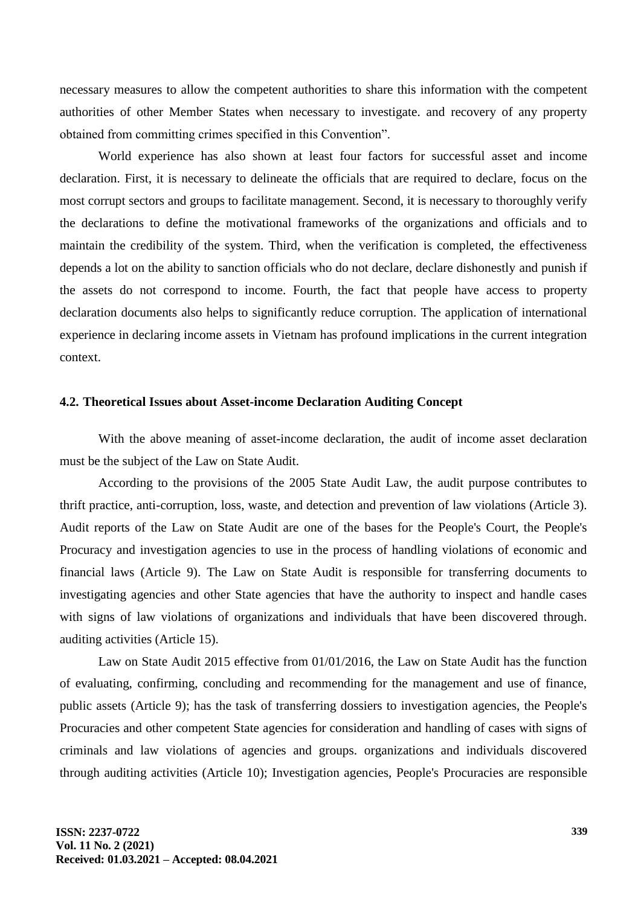necessary measures to allow the competent authorities to share this information with the competent authorities of other Member States when necessary to investigate. and recovery of any property obtained from committing crimes specified in this Convention".

World experience has also shown at least four factors for successful asset and income declaration. First, it is necessary to delineate the officials that are required to declare, focus on the most corrupt sectors and groups to facilitate management. Second, it is necessary to thoroughly verify the declarations to define the motivational frameworks of the organizations and officials and to maintain the credibility of the system. Third, when the verification is completed, the effectiveness depends a lot on the ability to sanction officials who do not declare, declare dishonestly and punish if the assets do not correspond to income. Fourth, the fact that people have access to property declaration documents also helps to significantly reduce corruption. The application of international experience in declaring income assets in Vietnam has profound implications in the current integration context.

#### **4.2. Theoretical Issues about Asset-income Declaration Auditing Concept**

With the above meaning of asset-income declaration, the audit of income asset declaration must be the subject of the Law on State Audit.

According to the provisions of the 2005 State Audit Law, the audit purpose contributes to thrift practice, anti-corruption, loss, waste, and detection and prevention of law violations (Article 3). Audit reports of the Law on State Audit are one of the bases for the People's Court, the People's Procuracy and investigation agencies to use in the process of handling violations of economic and financial laws (Article 9). The Law on State Audit is responsible for transferring documents to investigating agencies and other State agencies that have the authority to inspect and handle cases with signs of law violations of organizations and individuals that have been discovered through. auditing activities (Article 15).

Law on State Audit 2015 effective from 01/01/2016, the Law on State Audit has the function of evaluating, confirming, concluding and recommending for the management and use of finance, public assets (Article 9); has the task of transferring dossiers to investigation agencies, the People's Procuracies and other competent State agencies for consideration and handling of cases with signs of criminals and law violations of agencies and groups. organizations and individuals discovered through auditing activities (Article 10); Investigation agencies, People's Procuracies are responsible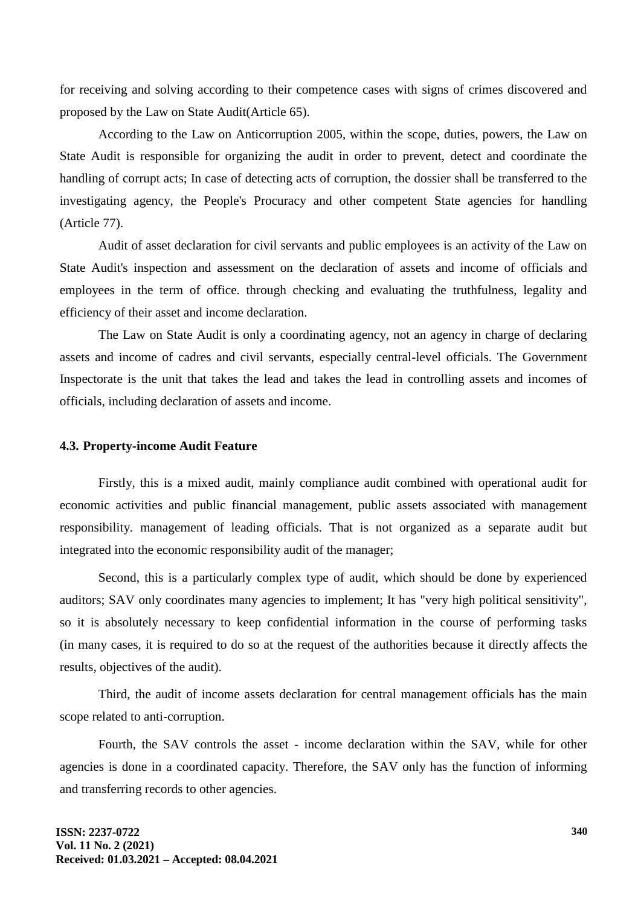for receiving and solving according to their competence cases with signs of crimes discovered and proposed by the Law on State Audit(Article 65).

According to the Law on Anticorruption 2005, within the scope, duties, powers, the Law on State Audit is responsible for organizing the audit in order to prevent, detect and coordinate the handling of corrupt acts; In case of detecting acts of corruption, the dossier shall be transferred to the investigating agency, the People's Procuracy and other competent State agencies for handling (Article 77).

Audit of asset declaration for civil servants and public employees is an activity of the Law on State Audit's inspection and assessment on the declaration of assets and income of officials and employees in the term of office. through checking and evaluating the truthfulness, legality and efficiency of their asset and income declaration.

The Law on State Audit is only a coordinating agency, not an agency in charge of declaring assets and income of cadres and civil servants, especially central-level officials. The Government Inspectorate is the unit that takes the lead and takes the lead in controlling assets and incomes of officials, including declaration of assets and income.

#### **4.3. Property-income Audit Feature**

Firstly, this is a mixed audit, mainly compliance audit combined with operational audit for economic activities and public financial management, public assets associated with management responsibility. management of leading officials. That is not organized as a separate audit but integrated into the economic responsibility audit of the manager;

Second, this is a particularly complex type of audit, which should be done by experienced auditors; SAV only coordinates many agencies to implement; It has "very high political sensitivity", so it is absolutely necessary to keep confidential information in the course of performing tasks (in many cases, it is required to do so at the request of the authorities because it directly affects the results, objectives of the audit).

Third, the audit of income assets declaration for central management officials has the main scope related to anti-corruption.

Fourth, the SAV controls the asset - income declaration within the SAV, while for other agencies is done in a coordinated capacity. Therefore, the SAV only has the function of informing and transferring records to other agencies.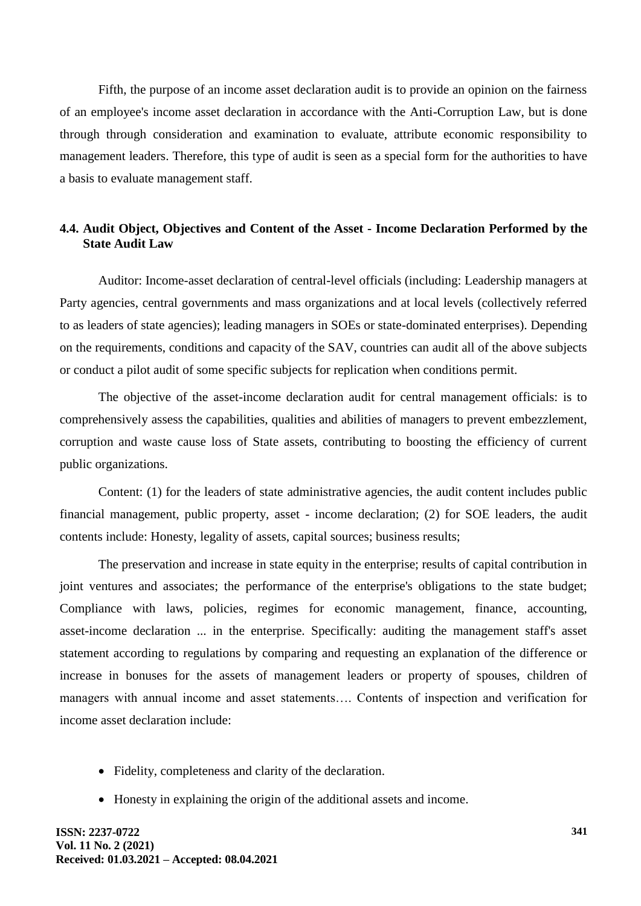Fifth, the purpose of an income asset declaration audit is to provide an opinion on the fairness of an employee's income asset declaration in accordance with the Anti-Corruption Law, but is done through through consideration and examination to evaluate, attribute economic responsibility to management leaders. Therefore, this type of audit is seen as a special form for the authorities to have a basis to evaluate management staff.

## **4.4. Audit Object, Objectives and Content of the Asset - Income Declaration Performed by the State Audit Law**

Auditor: Income-asset declaration of central-level officials (including: Leadership managers at Party agencies, central governments and mass organizations and at local levels (collectively referred to as leaders of state agencies); leading managers in SOEs or state-dominated enterprises). Depending on the requirements, conditions and capacity of the SAV, countries can audit all of the above subjects or conduct a pilot audit of some specific subjects for replication when conditions permit.

The objective of the asset-income declaration audit for central management officials: is to comprehensively assess the capabilities, qualities and abilities of managers to prevent embezzlement, corruption and waste cause loss of State assets, contributing to boosting the efficiency of current public organizations.

Content: (1) for the leaders of state administrative agencies, the audit content includes public financial management, public property, asset - income declaration; (2) for SOE leaders, the audit contents include: Honesty, legality of assets, capital sources; business results;

The preservation and increase in state equity in the enterprise; results of capital contribution in joint ventures and associates; the performance of the enterprise's obligations to the state budget; Compliance with laws, policies, regimes for economic management, finance, accounting, asset-income declaration ... in the enterprise. Specifically: auditing the management staff's asset statement according to regulations by comparing and requesting an explanation of the difference or increase in bonuses for the assets of management leaders or property of spouses, children of managers with annual income and asset statements…. Contents of inspection and verification for income asset declaration include:

- Fidelity, completeness and clarity of the declaration.
- Honesty in explaining the origin of the additional assets and income.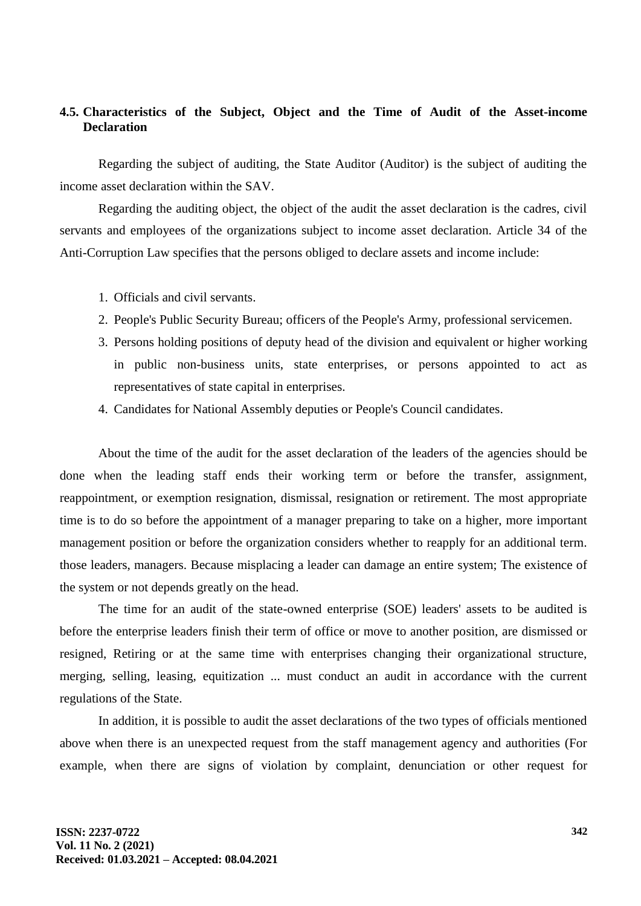## **4.5. Characteristics of the Subject, Object and the Time of Audit of the Asset-income Declaration**

Regarding the subject of auditing, the State Auditor (Auditor) is the subject of auditing the income asset declaration within the SAV.

Regarding the auditing object, the object of the audit the asset declaration is the cadres, civil servants and employees of the organizations subject to income asset declaration. Article 34 of the Anti-Corruption Law specifies that the persons obliged to declare assets and income include:

- 1. Officials and civil servants.
- 2. People's Public Security Bureau; officers of the People's Army, professional servicemen.
- 3. Persons holding positions of deputy head of the division and equivalent or higher working in public non-business units, state enterprises, or persons appointed to act as representatives of state capital in enterprises.
- 4. Candidates for National Assembly deputies or People's Council candidates.

About the time of the audit for the asset declaration of the leaders of the agencies should be done when the leading staff ends their working term or before the transfer, assignment, reappointment, or exemption resignation, dismissal, resignation or retirement. The most appropriate time is to do so before the appointment of a manager preparing to take on a higher, more important management position or before the organization considers whether to reapply for an additional term. those leaders, managers. Because misplacing a leader can damage an entire system; The existence of the system or not depends greatly on the head.

The time for an audit of the state-owned enterprise (SOE) leaders' assets to be audited is before the enterprise leaders finish their term of office or move to another position, are dismissed or resigned, Retiring or at the same time with enterprises changing their organizational structure, merging, selling, leasing, equitization ... must conduct an audit in accordance with the current regulations of the State.

In addition, it is possible to audit the asset declarations of the two types of officials mentioned above when there is an unexpected request from the staff management agency and authorities (For example, when there are signs of violation by complaint, denunciation or other request for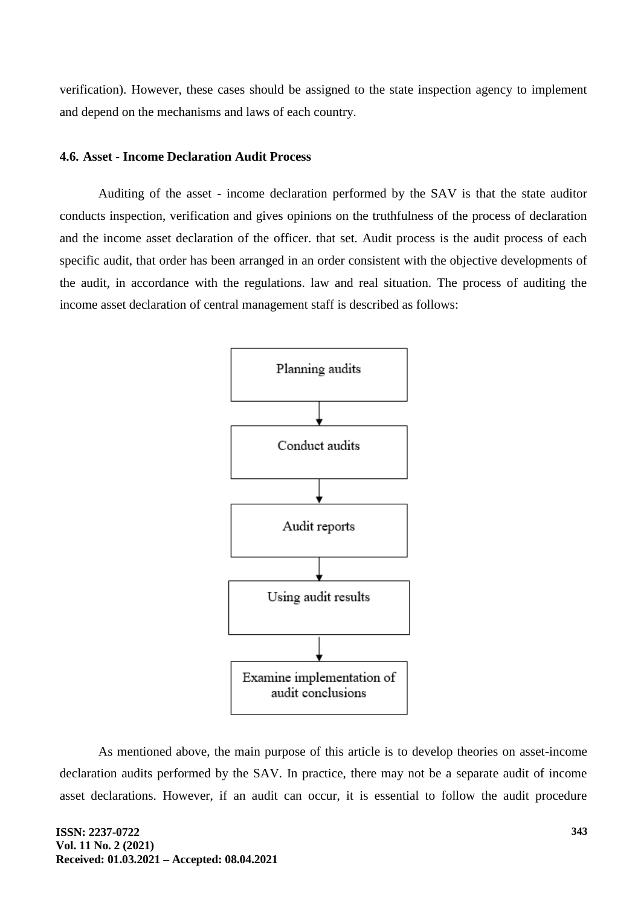verification). However, these cases should be assigned to the state inspection agency to implement and depend on the mechanisms and laws of each country.

## **4.6. Asset - Income Declaration Audit Process**

Auditing of the asset - income declaration performed by the SAV is that the state auditor conducts inspection, verification and gives opinions on the truthfulness of the process of declaration and the income asset declaration of the officer. that set. Audit process is the audit process of each specific audit, that order has been arranged in an order consistent with the objective developments of the audit, in accordance with the regulations. law and real situation. The process of auditing the income asset declaration of central management staff is described as follows:



As mentioned above, the main purpose of this article is to develop theories on asset-income declaration audits performed by the SAV. In practice, there may not be a separate audit of income asset declarations. However, if an audit can occur, it is essential to follow the audit procedure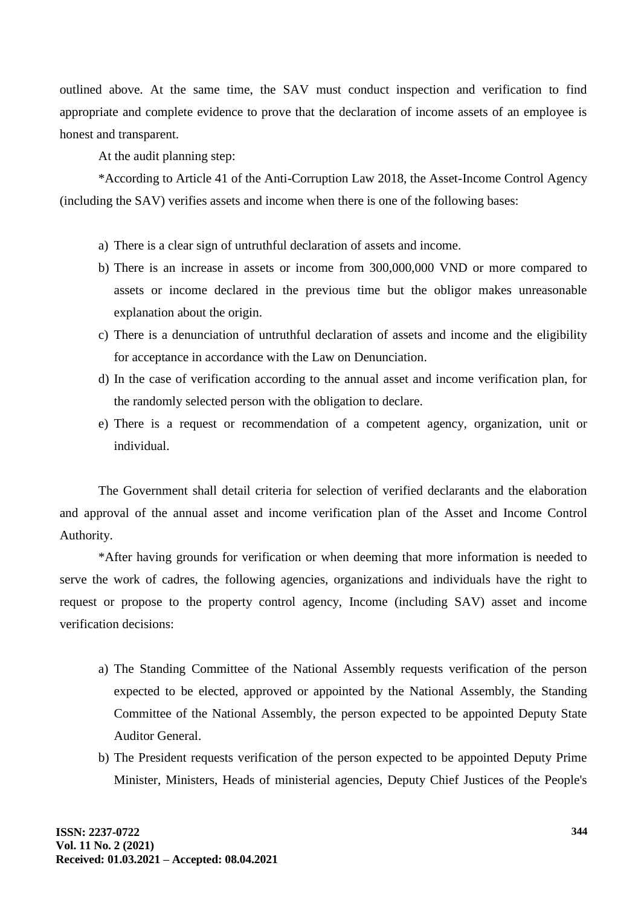outlined above. At the same time, the SAV must conduct inspection and verification to find appropriate and complete evidence to prove that the declaration of income assets of an employee is honest and transparent.

At the audit planning step:

\*According to Article 41 of the Anti-Corruption Law 2018, the Asset-Income Control Agency (including the SAV) verifies assets and income when there is one of the following bases:

- a) There is a clear sign of untruthful declaration of assets and income.
- b) There is an increase in assets or income from 300,000,000 VND or more compared to assets or income declared in the previous time but the obligor makes unreasonable explanation about the origin.
- c) There is a denunciation of untruthful declaration of assets and income and the eligibility for acceptance in accordance with the Law on Denunciation.
- d) In the case of verification according to the annual asset and income verification plan, for the randomly selected person with the obligation to declare.
- e) There is a request or recommendation of a competent agency, organization, unit or individual.

The Government shall detail criteria for selection of verified declarants and the elaboration and approval of the annual asset and income verification plan of the Asset and Income Control Authority.

\*After having grounds for verification or when deeming that more information is needed to serve the work of cadres, the following agencies, organizations and individuals have the right to request or propose to the property control agency, Income (including SAV) asset and income verification decisions:

- a) The Standing Committee of the National Assembly requests verification of the person expected to be elected, approved or appointed by the National Assembly, the Standing Committee of the National Assembly, the person expected to be appointed Deputy State Auditor General.
- b) The President requests verification of the person expected to be appointed Deputy Prime Minister, Ministers, Heads of ministerial agencies, Deputy Chief Justices of the People's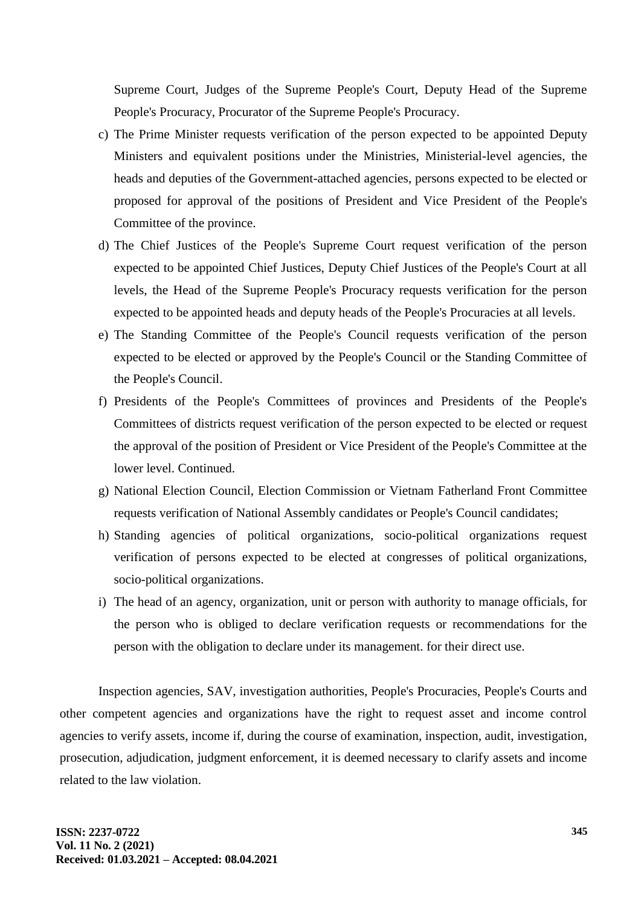Supreme Court, Judges of the Supreme People's Court, Deputy Head of the Supreme People's Procuracy, Procurator of the Supreme People's Procuracy.

- c) The Prime Minister requests verification of the person expected to be appointed Deputy Ministers and equivalent positions under the Ministries, Ministerial-level agencies, the heads and deputies of the Government-attached agencies, persons expected to be elected or proposed for approval of the positions of President and Vice President of the People's Committee of the province.
- d) The Chief Justices of the People's Supreme Court request verification of the person expected to be appointed Chief Justices, Deputy Chief Justices of the People's Court at all levels, the Head of the Supreme People's Procuracy requests verification for the person expected to be appointed heads and deputy heads of the People's Procuracies at all levels.
- e) The Standing Committee of the People's Council requests verification of the person expected to be elected or approved by the People's Council or the Standing Committee of the People's Council.
- f) Presidents of the People's Committees of provinces and Presidents of the People's Committees of districts request verification of the person expected to be elected or request the approval of the position of President or Vice President of the People's Committee at the lower level. Continued.
- g) National Election Council, Election Commission or Vietnam Fatherland Front Committee requests verification of National Assembly candidates or People's Council candidates;
- h) Standing agencies of political organizations, socio-political organizations request verification of persons expected to be elected at congresses of political organizations, socio-political organizations.
- i) The head of an agency, organization, unit or person with authority to manage officials, for the person who is obliged to declare verification requests or recommendations for the person with the obligation to declare under its management. for their direct use.

Inspection agencies, SAV, investigation authorities, People's Procuracies, People's Courts and other competent agencies and organizations have the right to request asset and income control agencies to verify assets, income if, during the course of examination, inspection, audit, investigation, prosecution, adjudication, judgment enforcement, it is deemed necessary to clarify assets and income related to the law violation.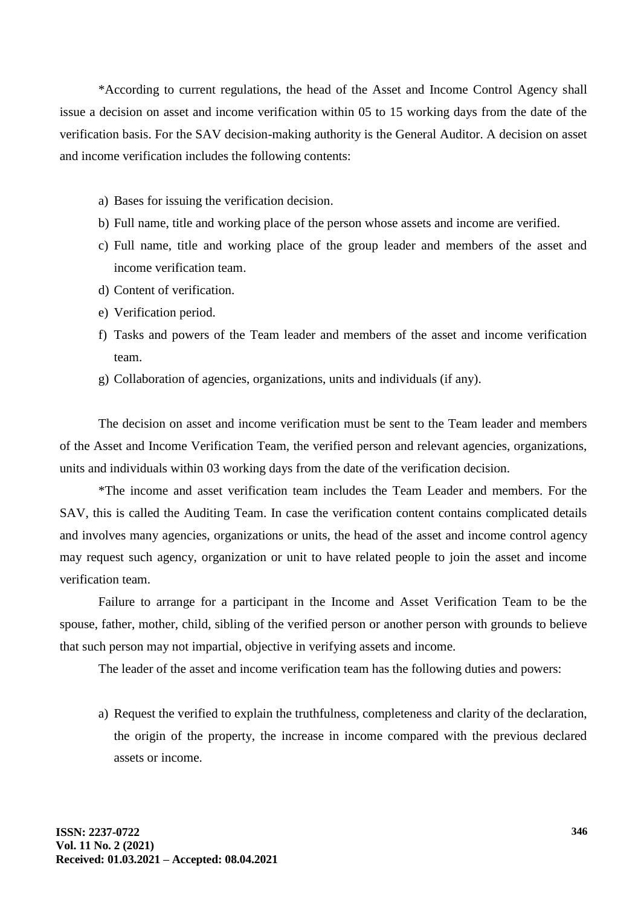\*According to current regulations, the head of the Asset and Income Control Agency shall issue a decision on asset and income verification within 05 to 15 working days from the date of the verification basis. For the SAV decision-making authority is the General Auditor. A decision on asset and income verification includes the following contents:

- a) Bases for issuing the verification decision.
- b) Full name, title and working place of the person whose assets and income are verified.
- c) Full name, title and working place of the group leader and members of the asset and income verification team.
- d) Content of verification.
- e) Verification period.
- f) Tasks and powers of the Team leader and members of the asset and income verification team.
- g) Collaboration of agencies, organizations, units and individuals (if any).

The decision on asset and income verification must be sent to the Team leader and members of the Asset and Income Verification Team, the verified person and relevant agencies, organizations, units and individuals within 03 working days from the date of the verification decision.

\*The income and asset verification team includes the Team Leader and members. For the SAV, this is called the Auditing Team. In case the verification content contains complicated details and involves many agencies, organizations or units, the head of the asset and income control agency may request such agency, organization or unit to have related people to join the asset and income verification team.

Failure to arrange for a participant in the Income and Asset Verification Team to be the spouse, father, mother, child, sibling of the verified person or another person with grounds to believe that such person may not impartial, objective in verifying assets and income.

The leader of the asset and income verification team has the following duties and powers:

a) Request the verified to explain the truthfulness, completeness and clarity of the declaration, the origin of the property, the increase in income compared with the previous declared assets or income.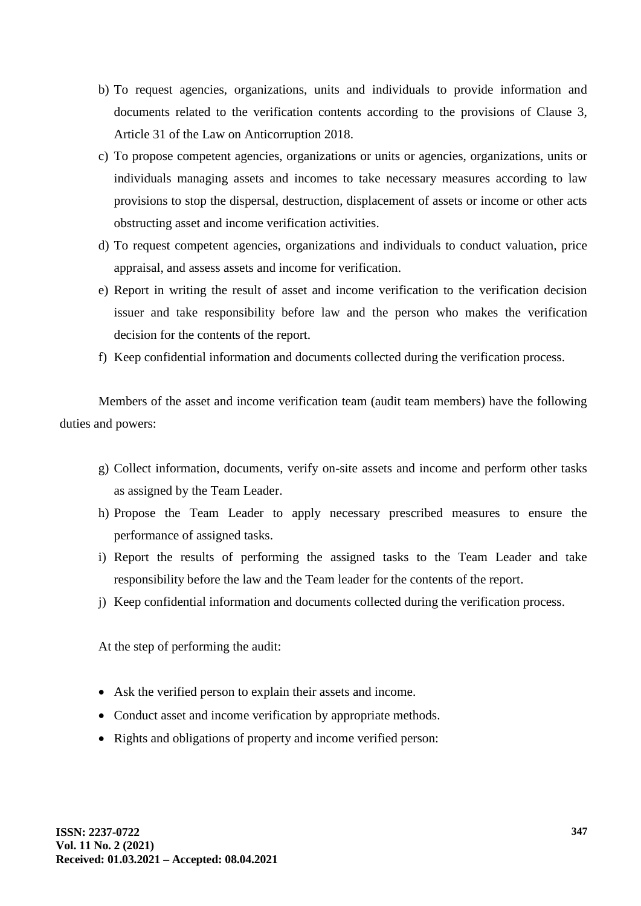- b) To request agencies, organizations, units and individuals to provide information and documents related to the verification contents according to the provisions of Clause 3, Article 31 of the Law on Anticorruption 2018.
- c) To propose competent agencies, organizations or units or agencies, organizations, units or individuals managing assets and incomes to take necessary measures according to law provisions to stop the dispersal, destruction, displacement of assets or income or other acts obstructing asset and income verification activities.
- d) To request competent agencies, organizations and individuals to conduct valuation, price appraisal, and assess assets and income for verification.
- e) Report in writing the result of asset and income verification to the verification decision issuer and take responsibility before law and the person who makes the verification decision for the contents of the report.
- f) Keep confidential information and documents collected during the verification process.

Members of the asset and income verification team (audit team members) have the following duties and powers:

- g) Collect information, documents, verify on-site assets and income and perform other tasks as assigned by the Team Leader.
- h) Propose the Team Leader to apply necessary prescribed measures to ensure the performance of assigned tasks.
- i) Report the results of performing the assigned tasks to the Team Leader and take responsibility before the law and the Team leader for the contents of the report.
- j) Keep confidential information and documents collected during the verification process.

At the step of performing the audit:

- Ask the verified person to explain their assets and income.
- Conduct asset and income verification by appropriate methods.
- Rights and obligations of property and income verified person: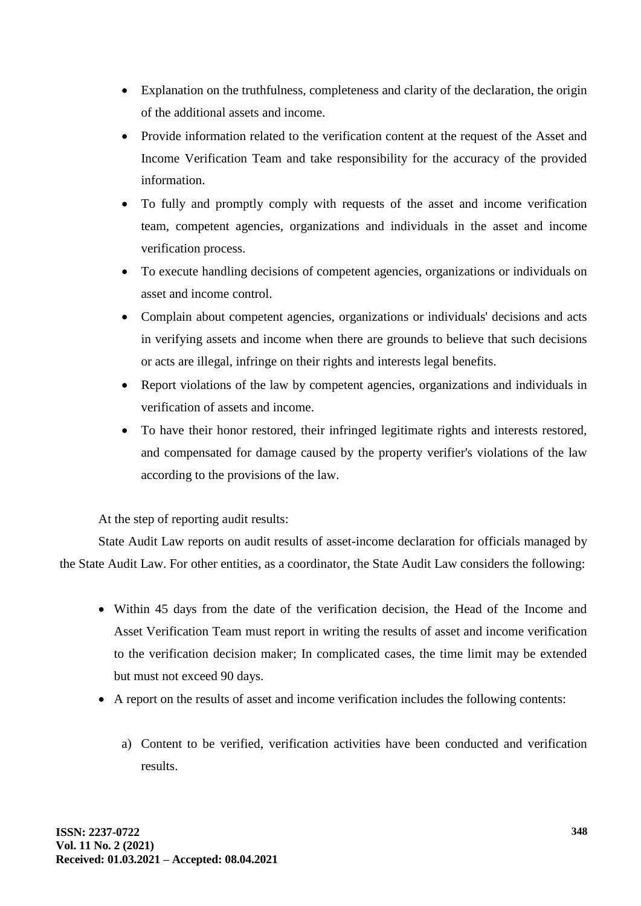- Explanation on the truthfulness, completeness and clarity of the declaration, the origin of the additional assets and income.
- Provide information related to the verification content at the request of the Asset and Income Verification Team and take responsibility for the accuracy of the provided information.
- To fully and promptly comply with requests of the asset and income verification team, competent agencies, organizations and individuals in the asset and income verification process.
- To execute handling decisions of competent agencies, organizations or individuals on asset and income control.
- Complain about competent agencies, organizations or individuals' decisions and acts in verifying assets and income when there are grounds to believe that such decisions or acts are illegal, infringe on their rights and interests legal benefits.
- Report violations of the law by competent agencies, organizations and individuals in verification of assets and income.
- To have their honor restored, their infringed legitimate rights and interests restored, and compensated for damage caused by the property verifier's violations of the law according to the provisions of the law.

At the step of reporting audit results:

State Audit Law reports on audit results of asset-income declaration for officials managed by the State Audit Law. For other entities, as a coordinator, the State Audit Law considers the following:

- Within 45 days from the date of the verification decision, the Head of the Income and Asset Verification Team must report in writing the results of asset and income verification to the verification decision maker; In complicated cases, the time limit may be extended but must not exceed 90 days.
- A report on the results of asset and income verification includes the following contents:
	- a) Content to be verified, verification activities have been conducted and verification results.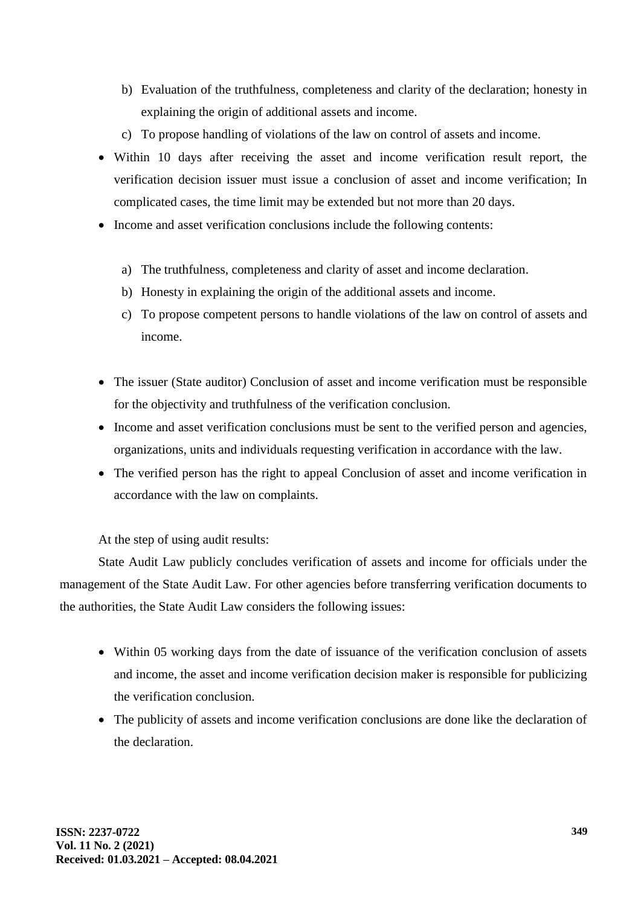- b) Evaluation of the truthfulness, completeness and clarity of the declaration; honesty in explaining the origin of additional assets and income.
- c) To propose handling of violations of the law on control of assets and income.
- Within 10 days after receiving the asset and income verification result report, the verification decision issuer must issue a conclusion of asset and income verification; In complicated cases, the time limit may be extended but not more than 20 days.
- Income and asset verification conclusions include the following contents:
	- a) The truthfulness, completeness and clarity of asset and income declaration.
	- b) Honesty in explaining the origin of the additional assets and income.
	- c) To propose competent persons to handle violations of the law on control of assets and income.
- The issuer (State auditor) Conclusion of asset and income verification must be responsible for the objectivity and truthfulness of the verification conclusion.
- Income and asset verification conclusions must be sent to the verified person and agencies, organizations, units and individuals requesting verification in accordance with the law.
- The verified person has the right to appeal Conclusion of asset and income verification in accordance with the law on complaints.

At the step of using audit results:

State Audit Law publicly concludes verification of assets and income for officials under the management of the State Audit Law. For other agencies before transferring verification documents to the authorities, the State Audit Law considers the following issues:

- Within 05 working days from the date of issuance of the verification conclusion of assets and income, the asset and income verification decision maker is responsible for publicizing the verification conclusion.
- The publicity of assets and income verification conclusions are done like the declaration of the declaration.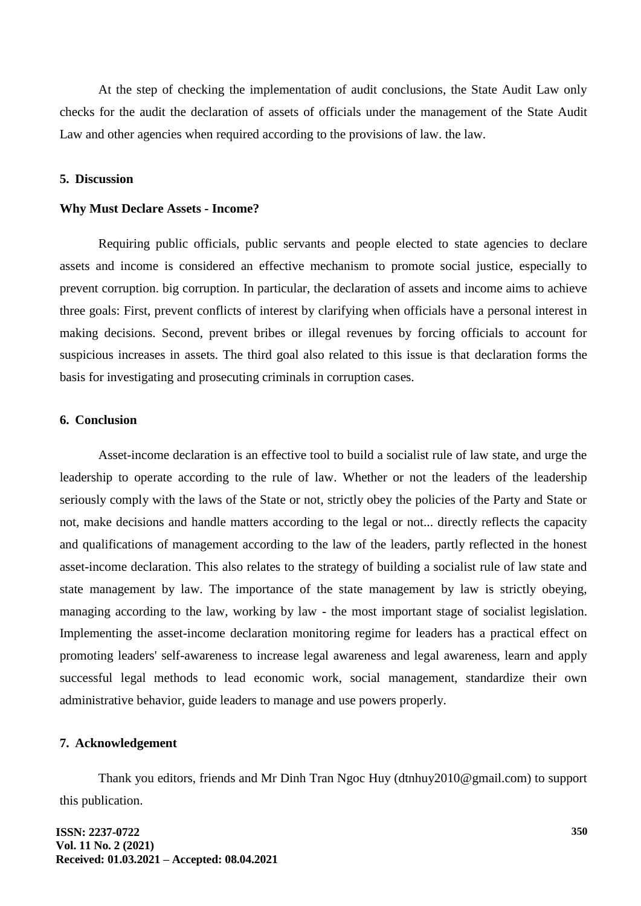At the step of checking the implementation of audit conclusions, the State Audit Law only checks for the audit the declaration of assets of officials under the management of the State Audit Law and other agencies when required according to the provisions of law. the law.

#### **5. Discussion**

#### **Why Must Declare Assets - Income?**

Requiring public officials, public servants and people elected to state agencies to declare assets and income is considered an effective mechanism to promote social justice, especially to prevent corruption. big corruption. In particular, the declaration of assets and income aims to achieve three goals: First, prevent conflicts of interest by clarifying when officials have a personal interest in making decisions. Second, prevent bribes or illegal revenues by forcing officials to account for suspicious increases in assets. The third goal also related to this issue is that declaration forms the basis for investigating and prosecuting criminals in corruption cases.

### **6. Conclusion**

Asset-income declaration is an effective tool to build a socialist rule of law state, and urge the leadership to operate according to the rule of law. Whether or not the leaders of the leadership seriously comply with the laws of the State or not, strictly obey the policies of the Party and State or not, make decisions and handle matters according to the legal or not... directly reflects the capacity and qualifications of management according to the law of the leaders, partly reflected in the honest asset-income declaration. This also relates to the strategy of building a socialist rule of law state and state management by law. The importance of the state management by law is strictly obeying, managing according to the law, working by law - the most important stage of socialist legislation. Implementing the asset-income declaration monitoring regime for leaders has a practical effect on promoting leaders' self-awareness to increase legal awareness and legal awareness, learn and apply successful legal methods to lead economic work, social management, standardize their own administrative behavior, guide leaders to manage and use powers properly.

#### **7. Acknowledgement**

Thank you editors, friends and Mr Dinh Tran Ngoc Huy (dtnhuy2010@gmail.com) to support this publication.